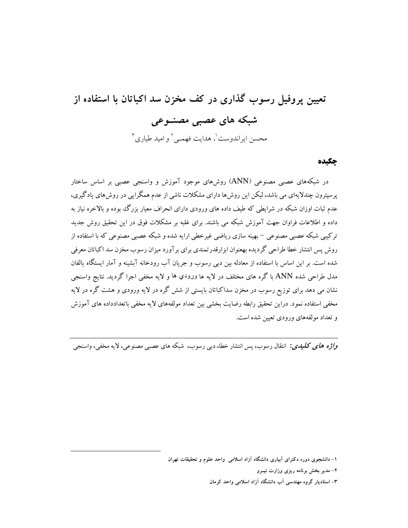# تعیین پروفیل رسوب گذاری در کف مخزن سد اکباتان با استفاده از شبکه های عصبی مصنــوعی محسن ایراندوست <sup>۱</sup>، هدایت فهمبی <sup>۲</sup> و امید طیاری <sup>۳</sup>

#### چکیده

در شبکههای عصبی مصنوعی (ANN) روشهای موجود آموزش و واسنجی عصبی بر اساس ساختار یر سپترون چندلایهای می باشد، لیکن این روش ها دارای مشکلات ناشبی از عدم همگرایی در روش های یادگیری، عدم ثبات اوزان شبکه در شرایطی که طیف داده های ورودی دارای انحراف معیار بزرگ بوده و بالاخره نیاز به داده و اطلاعات فراوان جهت آموزش شبکه می باشند. برای غلبه بر مشکلات فوق در این تحقیق روش جدید ترکیبی شبکه عصبی مصنوعی – بهینه سازی ریاضی غیرخطی ارایه شده و شبکه عصبی مصنوعی که با استفاده از روش پس انتشار خطا طراحی گردیده بهعنوان ابزارقدرتمندی برای بر آورد میزان رسوب مخزن سد اکباتان معرفی شده است. بر این اساس با استفاده از معادله بین دبی رسوب و جریان آب رودخانه آبشینه و آمار ایستگاه یالفان مدل طراحي شده ANN باگره هاي مختلف در لايه ها ورودي ها و لايه مخفي اجرا گرديد. نتايج واسنجي نشان می دهد برای توزیع رسوب در مخزن سداکباتان بایستی از شش گره در لایه ورودی و هشت گره در لایه مخفی استفاده نمود. دراین تحقیق رابطه رضایت بخشی بین تعداد مولفههای لایه مخفی باتعدادداده های آموزش و تعداد مولفههای ورودی تعیین شده است.

واژه های کلیدی: انتقال رسوب، پس انتشار خطا، دبی رسوب، شبکه های عصبی مصنوعی، لایه مخفی، واسنجی

۱– دانشجوی دوره دکترای آبیاری دانشگاه آزاد اسلامی واحد علوم و تحقیقات تهران

۲– مدیر بخش برنامه ریزی وزارت نیــرو

۳– استادیار گروه مهندسی آب دانشگاه آزاد اسلامی واحد کرمان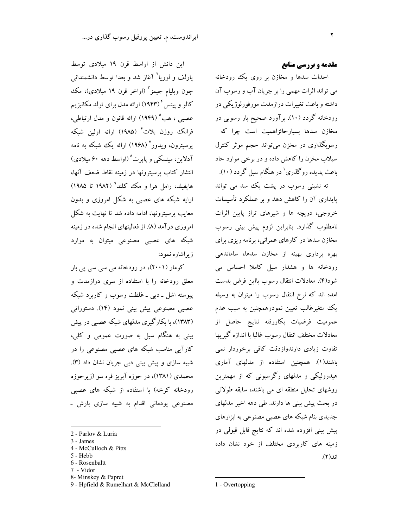#### مقدمه و بررسی منابع

احداث سدها و مخازن بر روی یک رودخانه می تواند اثرات مهمی را بر جریان آب و رسوب آن داشته و باعث تغییرات درازمدت مورفورلوژیکی در رودخانه گردد (۱۰). برآورد صحیح بار رسوبی در مخازن سدها بسیارحائزاهمیت است چرا که رسوبگذاری در مخزن می تواند حجم موثر کنترل سيلاب مخزن را كاهش داده و در برخي موارد حاد باعث پدیده روگذری' در هنگام سیل گردد (۱۰).

ته نشینی رسوب در پشت یک سد می تواند پایداری آن را کاهش دهد و بر عملکرد تأسیسات خروجی، دریچه ها و شیرهای تراز پایین اثرات نامطلوب گذارد. بنابراین لزوم پیش بینی رسوب مخازن سدها در کارهای عمرانی، برنامه ریزی برای بهره برداری بهینه از مخازن سدها، ساماندهی رودخانه ها و هشدار سیل کاملا احساس می شود(۴). معادلات انتقال رسوب بااين فرض بدست امده اند که نرخ انتقال رسوب را میتوان به وسیله یک متغیرغالب تعیین نمودوهمچنین به سبب عدم عمومیت فرضیات بکاررفته نتایج حاصل از معادلات مختلف انتقال رسوب غالبا با اندازه گیریها تفاوت زیادی دارندوازدقت کافی برخوردار نمی باشند(۱). همچنین استفاده از مدلهای آماری هیدرولیکی و مدلهای رگرسیونی که از مهمترین روشهای تحلیل منطقه ای می باشند، سابقه طولانی در بحث پیش بینی ها دارند. طی دهه اخیر مدلهای جدیدی بنام شبکه های عصبی مصنوعی به ابزارهای ییش بینی افزوده شده اند که نتایج قابل قبولی در زمینه های کاربردی مختلف از خود نشان داده اند(۲).

این دانش از اواسط قرن ١٩ میلادی توسط یارلف و لوریا<sup>۲</sup> آغاز شد و بعدا توسط دانشمندانی چون ويليام جيمز<sup>"</sup> (اواخر قرن ۱۹ ميلادی)، مک<sup>ی</sup> کالو و پیتس ٔ (۱۹۴۳) ارائه مدل برای تولد مکانیز یم عصبي ، هــــ<sup>ه</sup> (١٩۴٩) ارائه قانون و مدل ارتباطي، فرانک روزن بلات<sup>۶</sup> (۱۹۸۵) ارائه اولین شبکه یرسیترون، ویدور<sup>\</sup> (۱۹۶۸) ارائه یک شبکه به نامه آدلاین، مینسکی و پایرت^(اواسط دهه ۶۰ میلادی) انتشار كتاب پرسپترونها در زمينه نقاط ضعف آنها، هایفیلد، رامل هرا و مک کلند° (۱۹۸۲ تا ۱۹۸۵) ارایه شبکه های عصبی به شکل امروزی و بدون معایب پرسیترونها، ادامه داده شد تا نهایت به شکل امروزی درآمد (۸). از فعالیتهای انجام شده در زمینه شبکه های عصبی مصنوعی میتوان به موارد زیر اشاره نمود:

کومار (۲۰۰۱)، در رودخانه می سی سی پی بار معلق رودخانه را با استفاده از سری درازمدت و پیوسته اشل ۔ دبی ۔ غلظت رسوب و کاربرد شبکه عصبی مصنوعی پیش بینی نمود (۱۴). دستوراتی (۱۳۸۳)، با بکارگیری مدلهای شبکه عصبی در پیش بینی به هنگام سیل به صورت عمومی و کلی، کارآیی مناسب شبکه های عصبی مصنوعی را در شبیه سازی و پیش بینی دبی جریان نشان داد (۳). محمدي (١٣٨١)، در حوزه آبريز قره سو (زيرحوزه رودخانه کرخه) با استفاده از شبکه های عصبی مصنوعی پودمانی اقدام به شبیه سازی بارش ـ

- 2 Parlov & Luria
- 3 James
- 4 McCulloch & Pitts
- 5 Hebb
- 6 Rosenbaltt
- 7 Vidor
- 8- Minskey & Papret
- 9 Hpfield & Rumelhart & McClelland

1 - Overtopping

۲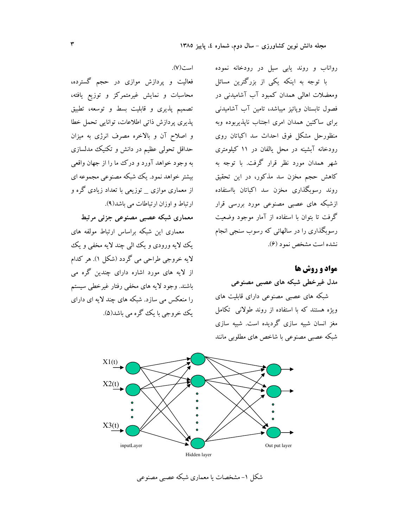رواناب و روند يابي سيل در رودخانه نموده با توجه به اینکه یکی از بزرگترین مسائل ومعضلات اهالی همدان کمبود آب آشامیدنی در فصول تابستان وپائیز میباشد، تامین آب آشامیدنی برای ساکنین همدان امری اجتناب ناپذیربوده وبه منظورحل مشکل فوق احداث سد اکباتان روی رودخانه آبشینه در محل یالفان در ۱۱ کیلومتری شهر همدان مورد نظر قرار گرفت. با توجه به کاهش حجم مخزن سد مذکور، در این تحقیق روند رسوبگذاری مخزن سد اکباتان بااستفاده ازشبکه های عصبی مصنوعی مورد بررسی قرار گرفت تا بتوان با استفاده از آمار موجود وضعیت رسوبگذاری را در سالهائی که رسوب سنجی انجام نشده است مشخص نمود (۶).

## **مواد و روش ها** مدل غیرخطی شبکه های عصبی مصنوعی

شبکه های عصبی مصنوعی دارای قابلیت های ویژه هستند که با استفاده از روند طولانی تکامل مغز انسان شبیه سازی گردیده است. شبیه سازی شبکه عصبی مصنوعی با شاخص های مطلوبی مانند



شکل ۱-مشخصات یا معماری شبکه عصبی مصنوعی

فعالیت و پردازش موازی در حجم گسترده، محاسبات و نمایش غیرمتمرکز و توزیع یافته، تصمیم پذیری و قابلیت بسط و توسعه، تطبیق پذیری پردازش ذاتی اطلاعات، توانایی تحمل خطا و اصلاح آن و بالاخره مصرف انرژی به میزان حداقل تحولی عظیم در دانش و تکنیک مدلسازی به وجود خواهد آورد و درک ما را از جهان واقعی بیشتر خواهد نمود. یک شبکه مصنوعی مجموعه ای از معماری موازی \_ توزیعی با تعداد زیادی گره و

است(۷).

ارتباط و اوزان ارتباطات می باشد(۹).

معماري شبكه عصبي مصنوعي جزئي مرتبط

معماری این شبکه براساس ارتباط مولفه های یک لایه ورودی و یک البی چند لایه مخفی و یک لايه خروجي طراحي مي گردد (شكل ۱). هر كدام از لایه های مورد اشاره دارای چندین گره می باشند. وجود لايه هاي مخفى رفتار غيرخطي سيستم را منعکس می سازد. شبکه های چند لایه ای دارای یک خروجے یا یک گرہ مے پاشد(۵).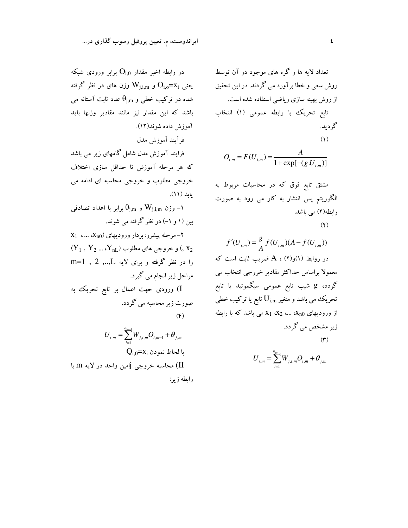$$
O_{i,m} = F(U_{i,m}) = \frac{A}{1 + \exp[-(g.U_{i,m})]}
$$

مشتق تابع فوق که در محاسبات مربوط به الگوریتم پس انتشار به کار می رود به صورت رابطه(۲) می باشد.

 $(\Upsilon)$ 

$$
f'(U_{i,m}) = \frac{g}{A} f(U_{i,m})(A - f(U_{i,m}))
$$
  
20. 
$$
f(U_{i,m}) = A \cdot (Y)g(1)
$$
  
31. 
$$
f(U_{i,m}) = \frac{g}{A} \cdot (Y)g(1)
$$
  
32. 
$$
f(U_{i,m}) = \frac{g}{A} \cdot (Z_{i,m})
$$
  
33. 
$$
f(U_{i,m}) = \frac{g}{A} \cdot (Z_{i,m})
$$
  
34. 
$$
f(U_{i,m}) = U_{i,m}
$$
  
35. 
$$
U_{i,m} = U_{i,m} \cdot (X_{i,m})
$$
  
36. 
$$
U_{i,m} = U_{i,m} \cdot (X_{i,m})
$$
  
37. 
$$
U_{i,m} = U_{i,m} \cdot (X_{i,m})
$$
  
38. 
$$
U_{i,m} = U_{i,m} \cdot (X_{i,m})
$$
  
39. 
$$
U_{i,m} = U_{i,m} \cdot (X_{i,m})
$$
  
30. 
$$
U_{i,m} = U_{i,m} \cdot (X_{i,m})
$$
  
31. 
$$
U_{i,m} = U_{i,m} \cdot (X_{i,m})
$$
  
32. 
$$
U_{i,m} = U_{i,m} \cdot (Y_{i,m})
$$
  
33. 
$$
U_{i,m} = U_{i,m} \cdot (Y_{i,m})
$$
  
34. 
$$
U_{i,m} = U_{i,m} \cdot (Y_{i,m})
$$
  
35. 
$$
U_{i,m} = U_{i,m} \cdot (Y_{i,m})
$$
  
36. 
$$
U_{i,m} = U_{i,m} \cdot (Y_{i,m})
$$
  
37. 
$$
U_{i,m} = U_{i,m} \cdot (Y_{i,m})
$$
  
38. 
$$
U_{i,m} = U_{i,m} \cdot (Y_{i,m})
$$
  
39. 
$$
U_{i,m} = U_{i,m} \cdot (Y_{i,m})
$$
  
40. 
$$
U_{i,m} = U_{i,m} \cdot (Y_{i,m})
$$
  
51. 
$$
U_{i,m} = U_{i,m} \cdot (Y_{i,m})
$$
  
6

$$
U_{i,m} = \sum_{i=1}^{n_{m-1}} W_{j,i,m} O_{i,m} + \theta_{j,m}
$$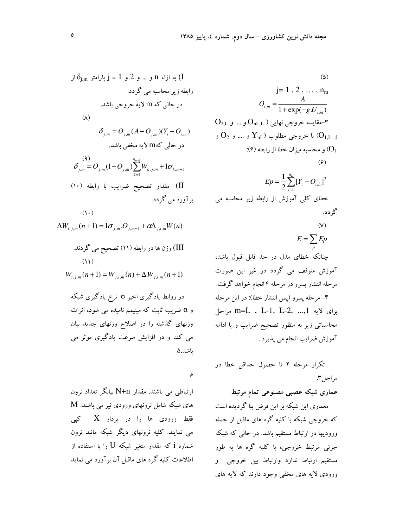I 
$$
\delta_{j,m}
$$
 بارامتر و 1 و د و 1 و ره دا مترامتر محاسبه می گردد.  
\n(الطه زیر محاسېه می گردد.  
\n(۸)  
\n
$$
\delta_{j,m} = O_{j,m}(A-O_{j,m})(Y_i-O_{i,m})
$$
\n(۸)  
\n
$$
\delta_{j,m} = O_{j,m}(A-O_{j,m})(Y_i-O_{i,m})
$$
\n(9)  
\n
$$
\delta_{j,m} = O_{j,m}(1-O_{j,m})\sum_{k=1}^{n_{m+1}}W_{k,j,m} + 1\sigma_{k,m+1}
$$
\n(10)  
\n
$$
\delta_{j,m} = O_{j,m}(1-O_{j,m})\sum_{k=1}^{n_{m+1}}W_{k,j,m} + 1\sigma_{k,m+1}
$$
\n(11)  
\n
$$
\Delta W_{i,j,m}(n+1) = 1\sigma_{j,m}.O_{j,m-1} + \alpha\Delta_{j,i,m}W(n)
$$
\n(11)  
\n
$$
\Delta W_{i,j,m}(n+1) = W_{j,i,m}(n) + \Delta.W_{j,i,m}(n+1)
$$
\n(11)  
\n
$$
W_{i,j,m}(n+1) = W_{j,i,m}(n) + \Delta.W_{j,i,m}(n+1)
$$
\n23. 
$$
\delta_{i,j,m}(n+1) = \delta_{i,j,m}(n) + \sum_{j,m=1}^{n_{m+1}}\delta_{i,j,m}(n+1)
$$
\n24. 
$$
\delta_{i,j,m}(n+1) = \delta_{i,j,m}(n) + \sum_{j,m=1}^{n_{m+1}}\delta_{i,j,m}(n+1)
$$
\n25. 
$$
\delta_{i,j,m}(n+1) = \delta_{i,j,m}(n+1) + \sum_{j,m=1}^{n_{m+1}}\delta_{i,j,m}(n+1)
$$
\n26. 
$$
\delta_{i,j,m}(n+1) = \delta_{i,j,m}(n+1) + \sum_{j,m=1}^{n_{m+1}}\delta_{i,j,m}(n+1)
$$

۴

ارتباطی می باشند. مقدار N+n بیانگر تعداد نرون های شبکه شامل نرونهای ورودی نیر می باشند. M فقط ورودی ها را در بردار  $\rm X$  کپی می نمایند. کلیه نرونهای دیگر شبکه مانند نرون شماره i که مقدار متغیر شبکه  ${\rm U}$  را با استفاده از اطلاعات کلیه گره های ماقبل آن برآورد می نماید

(a)

\n
$$
j = 1, 2, \ldots, n_{m}
$$
\n
$$
O_{i,m} = \frac{A}{1 + \exp(-g.U_{i,m})}
$$
\nO<sub>2,L J</sub> .... p O<sub>nL,L</sub> )

\n
$$
O_{nL,L} \rightarrow \text{Var}(O_{i,L})
$$
\n
$$
O_{nL,L} \rightarrow \text{Var}(O_{i,L})
$$
\n
$$
O_{nL} \rightarrow \text{Var}(O_{i,L})
$$
\n
$$
O_{nL} \rightarrow \text{Var}(O_{i,L})
$$
\n
$$
O_{nL} \rightarrow \text{Var}(O_{i,L})
$$
\n
$$
E_P = \frac{1}{2} \sum_{i=1}^{n_L} [Y_i - O_{i,L}]^2
$$
\nand

\n
$$
E_P = \frac{1}{2} \sum_{i=1}^{n_L} [Y_i - O_{i,L}]^2
$$

$$
E = \sum_p E_p
$$

چنانکه خطای مدل در حد قابل قبول باشد، آموزش متوقف می گردد در غیر این صورت مرحله انتشار پسرو در مرحله ۴ انجام خواهد گرفت. ۴– مرحله پسرو (پس انتشار خطا): در این مرحله برای لایه m=L , L-1, L-2, ..., l مراحل محاسباتی زیر به منظور تصحیح ضرایب و یا ادامه آموزش ضرایب انجام می پذیرد .

## عماری شبکه عصبی مصنوعی تمام مرتبط

معماری این شبکه بر این فرض بنا گردیده است که خروجی شبکه با کلیه گره های ماقبل از جمله ورودیها در ارتباط مستقیم باشد. در حالبی که شبکه جزئی مرتبط خروجی، با کلیه گره ها به طور مستقیم ارتباط ندارد وارتباط بین خروجی و ورودي لايه هاي مخفى وجود دارند كه لايه هاي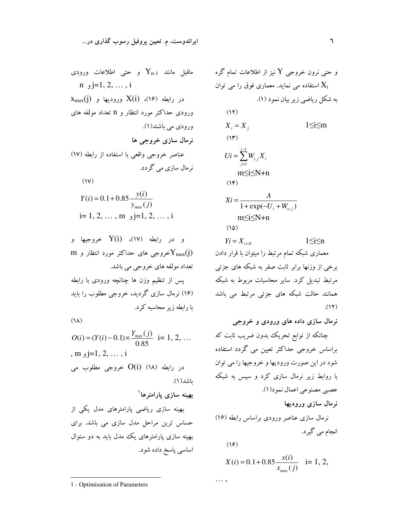ماقبل مانند Y<sub>n-1</sub> و حتی اطلاعات ورودی  
\nn j=1, 2, ..., i  
\n
$$
X_{max}(j) = \sum_{i=1}^{n} X(i) \quad (19)
$$
\n
$$
X_{max}(j) = \sum_{i=1}^{n} X(i) \quad (19)
$$
\n
$$
X_{max}(j) = \sum_{i=1}^{n} X(i) \quad (19)
$$
\n
$$
X_{max}(j) = \sum_{i=1}^{n} X_{i} \quad (10)
$$
\n
$$
X_{max}(j) = \sum_{i=1}^{n} X_{i} \quad (10)
$$
\n
$$
Y(i) = 0.1 + 0.85 \quad \frac{y(i)}{y_{max}(j)}
$$
\n
$$
i = 1, 2, ..., m, j = 1, 2, ..., i
$$

 $(\lambda)$ 

$$
O(i) = (Y(i) - 0.1) \times \frac{Y_{\text{max}}(j)}{0.85} \quad \text{i = 1, 2, ...}
$$
\n, m <sub>9</sub> j=1, 2, ..., i  
\n
$$
O(i) \quad (\text{A}) \quad \text{a.e.}
$$
\n
$$
O(i) \quad (\text{A}) \quad \text{b.e.}
$$
\n
$$
P(i) = \text{b.e.}
$$

بهینه سازی ریاضی پارامترهای مدل یکی از حساس ترین مراحل مدل سازی می باشد. برای بهینه سازی پارامترهای یک مدل باید به دو سئوال اساسی پاسخ داده شود.

1 - Optimisation of Parameters

و حتی نرون خروجی Y نیز از اطلاعات تمام گره و  
\nیه شکل ریاضی زیر بیان نمود (1).  
\n
$$
X_{i} = X_{j}
$$
\n(17)  
\n
$$
X_{i} = X_{j}
$$
\n
$$
1 \leq i \leq m
$$
\n(18)  
\n
$$
Ui = \sum_{j=1}^{i-1} W_{i,j} X_{i}
$$
\n
$$
m \leq i \leq N + n
$$
\n(19)  
\n
$$
Xi = \frac{A}{1 + \exp(-U_{i} + W_{o,j})}
$$
\n
$$
m \leq i \leq N + n
$$
\n(10)  
\n
$$
Yi = X_{i+N}
$$
\n
$$
1 \leq i \leq n
$$
\n(11)  
\n
$$
Yi = X_{i+N}
$$
\n
$$
1 \leq i \leq n
$$
\n(12)  
\n
$$
Y = X_{i+N}
$$
\n
$$
1 \leq i \leq n
$$
\n(13)  
\n
$$
Y = X_{i+N}
$$
\n
$$
1 \leq i \leq n
$$
\n(14)  
\n
$$
Y = X_{i+N}
$$
\n(15)  
\n
$$
Y = X_{i+N}
$$
\n(16)  
\n
$$
Y = X_{i+N}
$$
\n(17)  
\n
$$
Y = X_{i+N}
$$

$$
(\mathcal{S})
$$

 $\cdots,$ 

$$
X(i) = 0.1 + 0.85 \frac{x(i)}{x_{\text{max}}(j)}
$$
 i= 1, 2,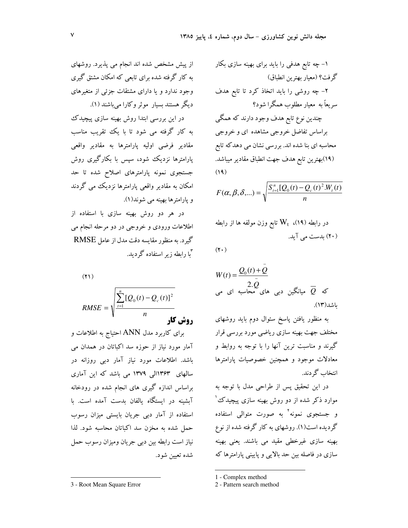$$
F(\alpha, \beta, \delta, \dots) = \sqrt{\frac{S_{t=1}^{n}[Q_0(t) - Q_c(t)^2.W_t(t))}{n}}
$$

$$
W(t) = \frac{Q_0(t) + Q}{2 \cdot Q}
$$
  
2. Q  
3. Q  
4.  $Q_0$  5.  $Q_0$  6.  $Q_0$  7.  $Q_0$  8.  $Q_0$  9.  $Q_0$  1.  $Q_0$  1.  $Q_0$  1.  $Q_0$  1.  $Q_0$  1.  $Q_0$  1.  $Q_0$  1.  $Q_0$  1.  $Q_0$  1.  $Q_0$  1.  $Q_0$  1.  $Q_0$  1.  $Q_0$  1.  $Q_0$  1.  $Q_0$  1.  $Q_0$  1.  $Q_0$  1.  $Q_0$  1.  $Q_0$  1.  $Q_0$  1.  $Q_0$  1.  $Q_0$  1.  $Q_0$  1.  $Q_0$  1.  $Q_0$  1.  $Q_0$  1.  $Q_0$  1.  $Q_0$  1.  $Q_0$  1.  $Q_0$  1.  $Q_0$  1.  $Q_0$  1.  $Q_0$  1.  $Q_0$  1.  $Q_0$  1.  $Q_0$  1.  $Q_0$  1.  $Q_0$  1.  $Q_0$  1.  $Q_0$  1.  $Q_0$  1.  $Q_0$  1.  $Q_0$  1.  $Q_0$  1.  $Q_0$  1.  $Q_0$  1.  $Q_0$  1.  $Q_0$  1.  $Q_0$  1.  $Q_0$  1.  $Q_0$  1.  $Q_0$  1.  $Q_0$  1.  $Q_0$  1.  $Q_0$  1.

به منظور یافتن پاسخ سئوال دوم باید روشهای مختلف جهت بهینه سازی ریاضی مورد بررسی قرار گیرند و مناسبت ترین آنها را با توجه به روابط و معادلات موجود و همچنین خصوصیات یارامترها انتخاب گے دند.

در این تحقیق پس از طراحی مدل با توجه به موارد ذکر شده از دو روش بهینه سازی پیچیدک ُ و جستجوی نمونه<sup>۲</sup> به صورت متوال<sub>ی</sub> استفاده گردیده است(۱). روشهای به کار گرفته شده از نوع بھینه سازی غیرخطی مقید می باشند. یعنی بھینه سازی در فاصله بین حد بالایی و پایینی پارامترها که

1 - Complex method

2 - Pattern search method

از پیش مشخص شده اند انجام می پذیرد. روشهای به کار گرفته شده برای تابعی که امکان مشتق گیری وجود ندارد و یا دارای مشتقات جزئی از متغیرهای دیگر هستند بسیار موثر وکارا میباشند (۱).

در این بررسی ابتدا روش بهینه سازی پیچیدک به کار گرفته می شود تا با یک تقریب مناسب مقادیر فرضی اولیه پارامترها به مقادیر واقعی یارامترها نزدیک شود، سیس با بکارگیری روش جستجوی نمونه پارامترهای اصلاح شده تا حد امکان به مقادیر واقعی یارامترها نزدیک می گردند و يارامترها بهينه مي شوند(١).

در هر دو روش بهینه سازی با استفاده از اطلاعات ورودی و خروجی در دو مرحله انجام می گیرد. به منظور مقایسه دقت مدل از عامل RMSE س<br>را رابطه زیر استفاده گردید.

 $(1)$ 

 $\sum_{t=1}^{n} [Q_0(t) - Q_c(t)]^2$ 

برای کاربرد مدل ANN احتیاج به اطلاعات و آمار مورد نیاز از حوزه سد اکباتان در همدان می باشد. اطلاعات مورد نیاز آمار دبی روزانه در سالهای ۱۳۶۳الی ۱۳۷۹ می باشد که این آماری براساس اندازه گیری های انجام شده در رودخانه آبشینه در ایستگاه یالفان بدست آمده است. با استفاده از آمار دبی جریان بایستی میزان رسوب حمل شده به مخزن سد اكباتان محاسبه شود. لذا نیاز است رابطه بین دبی جریان ومیزان رسوب حمل شده تعسن شود.

<sup>3 -</sup> Root Mean Square Error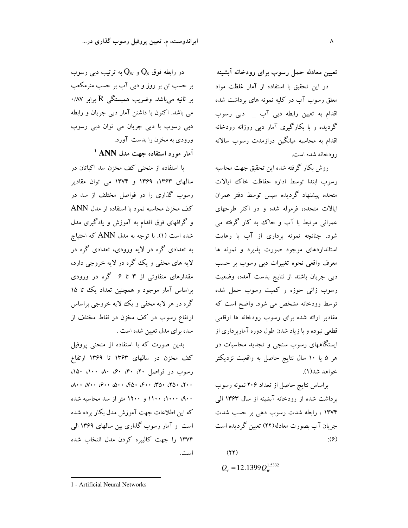تعیین معادله حمل رسوب برای رودخانه أبشینه در این تحقیق با استفاده از آمار غلظت مواد معلق رسوب آب در کلیه نمونه های برداشت شده اقدام به تعیین رابطه دبی آب \_ دبی رسوب گردیده و با بکارگیری آمار دبی روزانه رودخانه اقدام به محاسبه میانگین درازمدت رسوب سالانه رودخانه شده است.

روش بكار گرفته شده اين تحقيق جهت محاسبه رسوب ابتدا توسط اداره حفاظت خاك ايالات متحده پیشنهاد گردیده سیس توسط دفتر عمران ایالات متحده، فرموله شده و در اکثر طرحهای عمرانی مرتبط با آب و خاک به کار گرفته می شود. چنانچه نمونه برداری از آب با رعایت استانداردهای موجود صورت پذیرد و نمونه ها معرف واقعی نحوه تغییرات دبی رسوب بر حسب دبی جریان باشند از نتایج بدست آمده، وضعیت رسوب زائی حوزه و کمیت رسوب حمل شده توسط رودخانه مشخص می شود. واضح است که مقادیر ارائه شده برای رسوب رودخانه ها ارقامی قطعی نبوده و با زیاد شدن طول دوره آماربر داری از ایستگاههای رسوب سنجی و تجدید محاسبات در هر ۵ یا ۱۰ سال نتایج حاصل به واقعیت نزدیکتر خواهد شد(١).

براساس نتايج حاصل از تعداد ۲۰۶ نمونه رسوب برداشت شده از رودخانه آبشینه از سال ۱۳۶۳ الی ۱۳۷۴ ، رابطه شدت رسوب دهی بر حسب شدت جریان آب بصورت معادله(۲۲) تعیین گردیده است  $:(\hat{z})$ 

 $(11)$  $Q_s = 12.1399 Q_w^{1.5332}$ 

در رابطه فوق  $\mathrm{Q}_\mathrm{s}$  و  $\mathrm{Q}_\mathrm{w}$  به ترتیب دبی رسوب بر حسب تن بر روز و دبی آب بر حسب مترمکعب بر ثانیه می باشد. وضریب همبستگی R برابر ۰/۸۷ می باشد. اکنون با داشتن آمار دبی جریان و رابطه دبی رسوب با دبی جریان می توان دبی رسوب ورودي به مخزن را بدست آورد. آمار مورد استفاده جهت مدل ANN <sup>ا</sup>

با استفاده از منحنی کف مخزن سد اکباتان در سالهای ۱۳۶۳، ۱۳۶۹ و ۱۳۷۴ می توان مقادیر رسوب گذاری را در فواصل مختلف از سد در كف مخزن محاسبه نمود با استفاده از مدل ANN و گرافهای فوق اقدام به آموزش و یادگیری مدل شده است (۱). با توجه به مدل ANN که احتیاج به تعدادی گره در لایه ورودی، تعدادی گره در لایه های مخفی و یک گره در لایه خروجی دارد، مقدارهای متفاوتی از ۳ تا ۶ گره در ورودی براساس آمار موجود و همچنین تعداد یک تا ۱۵ گره در هر لایه مخفی و یک لایه خروجی براساس ارتفاع رسوب در كف مخزن در نقاط مختلف از سد، برای مدل تعیین شده است .

بدین صورت که با استفاده از منحنی پروفیل کف مخزن در سالهای ۱۳۶۳ تا ۱۳۶۹ ارتفاع رسوب در فواصل ۲۰، ۴۰، ۴۰، ۵۰، ۱۵۰، ۱۵۰، ۹۰۰، ۱۰۰۰، ۱۱۰۰ و ۱۲۰۰ متر از سد محاسبه شده که این اطلاعات جهت آموزش مدل بکار برده شده است و آمار رسوب گذاری بین سالهای ۱۳۶۹ الی ۱۳۷۴ را جهت کالیبره کردن مدل انتخاب شده است.

1 - Artificial Neural Networks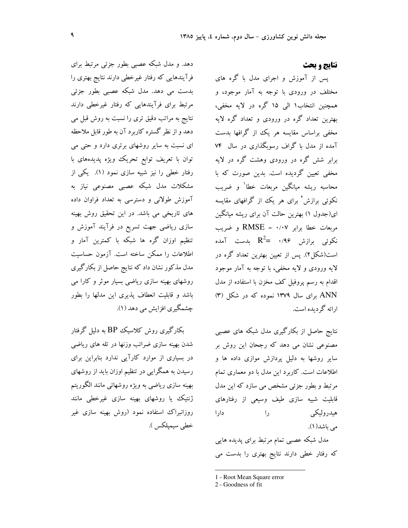### نتايج و بحث

یس از آموزش و اجرای مدل با گره های مختلف در ورودی با توجه به آمار موجود، و همچنین انتخاب۱ الی ۱۵ گره در لایه مخفی، بهترین تعداد گره در ورودی و تعداد گره لایه مخفی براساس مقایسه هر یک از گرافها بدست آمده از مدل با گراف رسوبگذاری در سال ۷۴ برابر شش گره در ورودی وهشت گره در لایه مخفی تعیین گردیده است. بدین صورت که با محاسبه ریشه میانگین مربعات خطا<sup>\</sup> و ضریب نکوئی برازش<sup>۲</sup> برای هر یک از گرافهای مقایسه ای(جدول ۱) بهترین حالت آن برای ریشه میانگین مربعات خطا برابر RMSE = ۰/۰۷ و ضریب نکوئی برازش ۰/۹۶ = $\mathrm{R}^2$  بدست آمده است(شکل۲). پس از تعیین بهترین تعداد گره در لايه ورودي و لايه مخفى، با توجه به آمار موجود اقدام به رسم پروفیل کف مخزن با استفاده از مدل ANN برای سال ۱۳۷۹ نموده که در شکل (۳) ارائه گردیده است.

نتایج حاصل از بکارگیری مدل شبکه های عصبی مصنوعی نشان می دهد که رجحان این روش بر سایر روشها به دلیل پردازش موازی داده ها و اطلاعات است. کاربرد این مدل با دو معماری تمام مرتبط و بطور جزئی مشخص می سازد که این مدل قابلیت شبیه سازی طیف وسیعی از رفتارهای هيدروليكي  $\mathbf{1}_{2}$ دارا می باشد(۱). مدل شبکه عصبی تمام مرتبط برای پدیده هایی که رفتار خطی دارند نتایج بهتری را بدست می

1 - Root Mean Square error

2 - Goodness of fit

دهد. و مدل شبکه عصبی بطور جزئی مرتبط برای فرآیندهایی که رفتار غیرخطی دارند نتایج بهتری را بدست می دهد. مدل شبکه عصبی بطور جزئی مرتبط برای فرآیندهایی که رفتار غیرخطی دارند نتايج به مراتب دقيق ترى را نسبت به روش قبل مى دهد و از نظر گستره کاربرد آن به طور قابل ملاحظه ای نسبت به سایر روشهای برتری دارد و حتی می توان با تعریف توابع تحریک ویژه پدیدههای با رفتار خطی را نیز شبیه سازی نمود (۱). یکی از مشکلات مدل شبکه عصبی مصنوعی نیاز به آموزش طولانی و دسترسی به تعداد فراوان داده های تاریخی می باشد. در این تحقیق روش بهینه سازی ریاضی جهت تسریع در فرآیند آموزش و تنظیم اوزان گره ها شبکه با کمترین آمار و اطلاعات را ممکن ساخته است. آزمون حساسیت مدل مذکور نشان داد که نتایج حاصل از بکارگیری روشهای بهینه سازی ریاضی بسیار موثر و کارا می باشد و قابلیت انعطاف پذیری این مدلها را بطور چشمگیری افزایش می دهد (۱).

بکارگیری روش کلاسیک BP به دلیل گرفتار شدن بهینه سازی ضرائب وزنها در تله های ریاضی در بسیاری از موارد کارآیی ندارد بنابراین برای رسیدن به همگرایی در تنظیم اوزان باید از روشهای بهينه سازي رياضي به ويژه روشهائي مانند الگوريتم ژنتیک یا روشهای بهینه سازی غیرخطی مانند روزانبراک استفاده نمود (روش بهینه سازی غیر خطي سيميلكس ).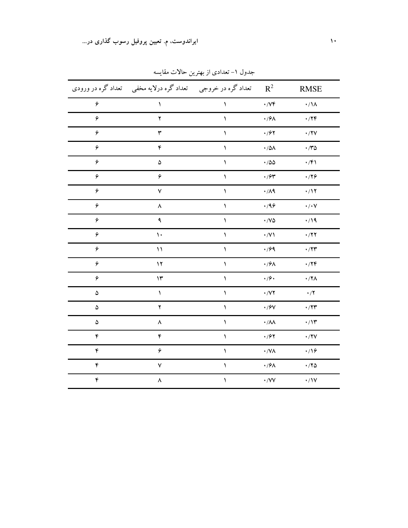|                             | تعداد گره در خروجي     تعداد گره درلايه مخفي     تعداد گره در ورودي |                 | $R^2$                         | <b>RMSE</b>       |
|-----------------------------|---------------------------------------------------------------------|-----------------|-------------------------------|-------------------|
| $\pmb{\varphi}$             | $\blacklozenge$                                                     | $\blacklozenge$ | $\cdot$ / $\vee \mathfrak{f}$ | $\cdot/\lambda$   |
| ۶                           | ۲                                                                   | ١               | $\cdot$ /9<br>A               | $\cdot$ /۲۴       |
| ۶                           | $\mathbf{\breve{r}}$                                                | ١               | $\cdot$ / $\mathcal{F}$ ۲     | $\cdot$ /۲۷       |
| ۶                           | ۴                                                                   | ١               | $\cdot$ /5<br>A               | $\cdot$ /۳۵       |
| $\hat{\boldsymbol{\gamma}}$ | $\pmb{\Delta}$                                                      | $\blacklozenge$ | $\cdot$ /55                   | $\cdot$ /۴۱       |
| ۶                           | ۶                                                                   | ١               | $\cdot$ / $\mathcal{F}$       | .779              |
| ۶                           | $\check{\mathsf{v}}$                                                | ١               | $\cdot/\Lambda$ ٩             | $\cdot/17$        |
| ۶                           | ٨                                                                   | ١               | .49                           | $\cdot/\cdot\vee$ |
| ۶                           | ٩                                                                   | ١               | $\cdot$ /V۵                   | $\cdot/19$        |
| ۶                           | $\mathcal{N}$                                                       | ١               | $\cdot$ /V)                   | $\cdot$ /۲۲       |
| ۶                           | $\setminus$                                                         | ١               | $\cdot$ /99                   | $\cdot$ /۲۳       |
| ۶                           | $\gamma$                                                            | ١               | $\cdot$ / $\frac{6}{10}$      | $\cdot$ /۲۴       |
| ۶                           | $\mathcal{W}$                                                       | ١               | $\cdot$ /9 $\cdot$            | $\cdot$ /۲۸       |
| ۵                           | ١                                                                   | ١               | $\boldsymbol{\cdot}$ /V۲      | $\cdot$ /٢        |
| ۵                           | $\mathbf{y}$                                                        | ١               | $\boldsymbol{\cdot}$ /9<br>V  | $\cdot$ /۲۳       |
| $\Delta$                    | ٨                                                                   | ١               | $\boldsymbol{\cdot}$ /<br>AA  | $\cdot/\gamma$    |
| $\mathfrak{r}$              | $\pmb{\mathfrak{r}}$                                                | ١               | $\cdot$ / $\mathcal{F}$ ۲     | $\cdot$ /۲۷       |
| $\pmb{\mathfrak{r}}$        | ۶                                                                   | ١               | $\boldsymbol{\cdot}$ /VA      | $\cdot$ /16       |
| $\mathfrak{r}$              | ٧                                                                   | ١               | $\cdot$ /9 $\!\!$ $\wedge$    | $\cdot$ /۲۵       |
| ۴                           | ٨                                                                   | ١               | $\boldsymbol{\cdot}$ /VV      | $\cdot/1V$        |

جدول ۱– تعدادی از بهترین حالات مقایسه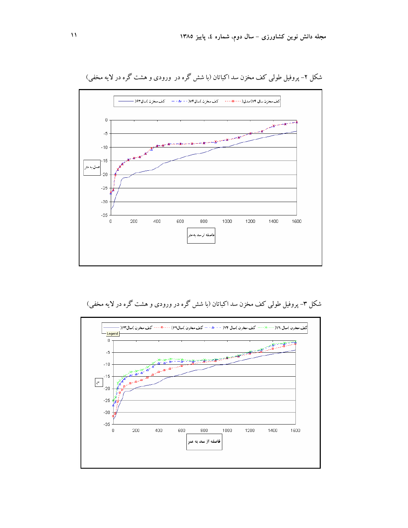

شکل ۲– پروفیل طولبی کف مخزن سد اکباتان (با شش گره در ورودی و هشت گره در لایه مخفی)

## شکل ۳- پروفیل طولبی کف مخزن سد اکباتان (با شش گره در ورودی و هشت گره در لایه مخفی)

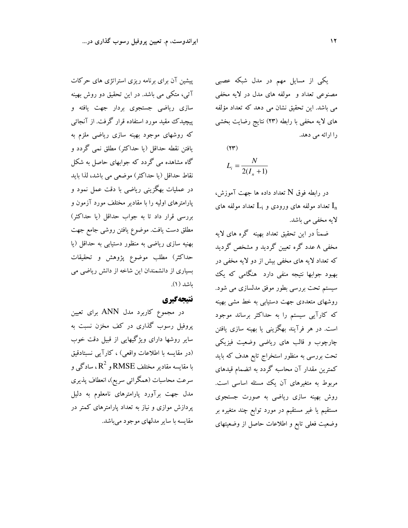ایراندوست، م. تعیین پروفیل رسوب گذاری در...

یکی از مسایل مهم در مدل شبکه عصبی مصنوعی تعداد و ًمولفه های مدل در لایه مخفی می باشد. این تحقیق نشان می دهد که تعداد مؤلفه های لایه مخفی با رابطه (۲۳) نتایج رضایت بخشی را ارائه می دهد.

 $(77)$  $L_i = \frac{N}{2(I_{i}+1)}$ 

در رابطه فوق N تعداد داده ها جهت آموزش، تعداد مولفه های ورودی و  $\mathrm{L_{i}}$  تعداد مولفه های  $\mathrm{I_{n}}$ لايه مخفى مى باشد.

ضمناً در این تحقیق تعداد بهینه گره های لایه مخفی ۸ عدد گره تعیین گردید و مشخص گردید که تعداد لایه های مخفی بیش از دو لایه مخفی در بهبود جوابها نتیجه منفی دارد هنگامی که یک سیستم تحت بررسی بطور موفق مدلسازی می شود. روشهای متعددی جهت دستیابی به خط مشی بهینه که کارآیی سیستم را به حداکثر برساند موجود است. در هر فرآیند بهگزینی یا بهینه سازی یافتن چارچوب و قالب های ریاضی وضعیت فیزیکی تحت بررسی به منظور استخراج تابع هدف که باید کمترین مقدار آن محاسبه گردد به انضمام قیدهای مربوط به متغیرهای آن یک مسئله اساسی است. روش بهینه سازی ریاضی به صورت جستجوی مستقیم یا غیر مستقیم در مورد توابع چند متغیره بر وضعیت فعلی تابع و اطلاعات حاصل از وضعیتهای

پیشین آن برای برنامه ریزی استراتژی های حرکات آتی، متکی می باشد. در این تحقیق دو روش بهینه سازی ریاضی جستجوی بردار جهت یافته و پیچیدک مقید مورد استفاده قرار گرفت. از آنجائبی که روشهای موجود بهینه سازی ریاضی ملزم به یافتن نقطه حداقل (یا حداکثر) مطلق نمی گردد و گاه مشاهده می گردد که جوابهای حاصل به شکل نقاط حداقل (يا حداكثر) موضعي مي باشد، لذا بايد در عملیات بهگزینی ریاضی با دقت عمل نمود و پارامترهای اولیه را با مقادیر مختلف مورد آزمون و بررسی قرار داد تا به جواب حداقل (یا حداکثر) مطلق دست یافت. موضوع یافتن روشی جامع جهت بهنیه سازی ریاضی به منظور دستیابی به حداقل (یا حداكثر) مطلب موضوع پژوهش و تحقیقات بسیاری از دانشمندان این شاخه از دانش ریاضی می باشد (۱).

## نتيجهگيري

در مجموع کاربرد مدل ANN برای تعیین پروفیل رسوب گذاری در کف مخزن نسبت به سایر روشها دارای ویژگیهایی از قبیل دقت خوب (در مقایسه با اطلاعات واقعی) ، کارآیی نسبتادقیق با مقایسه مقادیر مختلف  $\mathsf{RMSE}$  و  $\mathsf{R}^2$ ، سادگمی و سرعت محاسبات (همگرائی سریع)، انعطاف پذیری مدل جهت برآورد پارامترهای نامعلوم به دلیل پردازش موازی و نیاز به تعداد پارامترهای کمتر در مقايسه با ساير مدلهاي موجود مي باشد.